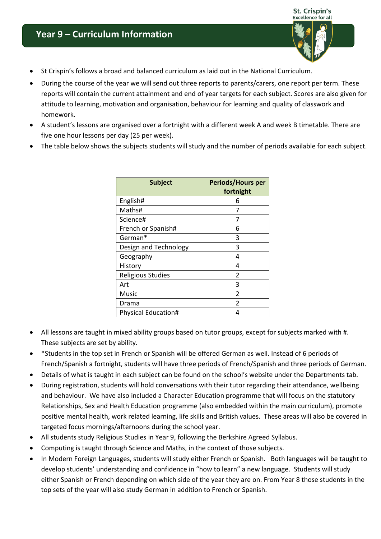## **Year 9 – Curriculum Information**



- St Crispin's follows a broad and balanced curriculum as laid out in the National Curriculum.
- During the course of the year we will send out three reports to parents/carers, one report per term. These reports will contain the current attainment and end of year targets for each subject. Scores are also given for attitude to learning, motivation and organisation, behaviour for learning and quality of classwork and homework.
- A student's lessons are organised over a fortnight with a different week A and week B timetable. There are five one hour lessons per day (25 per week).
- The table below shows the subjects students will study and the number of periods available for each subject.

| <b>Subject</b>             | <b>Periods/Hours per</b><br>fortnight |
|----------------------------|---------------------------------------|
| English#                   | 6                                     |
| Maths#                     |                                       |
| Science#                   | 7                                     |
| French or Spanish#         | 6                                     |
| German*                    | 3                                     |
| Design and Technology      | 3                                     |
| Geography                  | 4                                     |
| History                    | 4                                     |
| <b>Religious Studies</b>   | $\mathfrak{p}$                        |
| Art                        | 3                                     |
| Music                      | $\overline{2}$                        |
| Drama                      | $\mathfrak{p}$                        |
| <b>Physical Education#</b> | 4                                     |

- All lessons are taught in mixed ability groups based on tutor groups, except for subjects marked with #. These subjects are set by ability.
- \*Students in the top set in French or Spanish will be offered German as well. Instead of 6 periods of French/Spanish a fortnight, students will have three periods of French/Spanish and three periods of German.
- Details of what is taught in each subject can be found on the school's website under the Departments tab.
- During registration, students will hold conversations with their tutor regarding their attendance, wellbeing and behaviour. We have also included a Character Education programme that will focus on the statutory Relationships, Sex and Health Education programme (also embedded within the main curriculum), promote positive mental health, work related learning, life skills and British values. These areas will also be covered in targeted focus mornings/afternoons during the school year.
- All students study Religious Studies in Year 9, following the Berkshire Agreed Syllabus.
- Computing is taught through Science and Maths, in the context of those subjects.
- In Modern Foreign Languages, students will study either French or Spanish. Both languages will be taught to develop students' understanding and confidence in "how to learn" a new language. Students will study either Spanish or French depending on which side of the year they are on. From Year 8 those students in the top sets of the year will also study German in addition to French or Spanish.